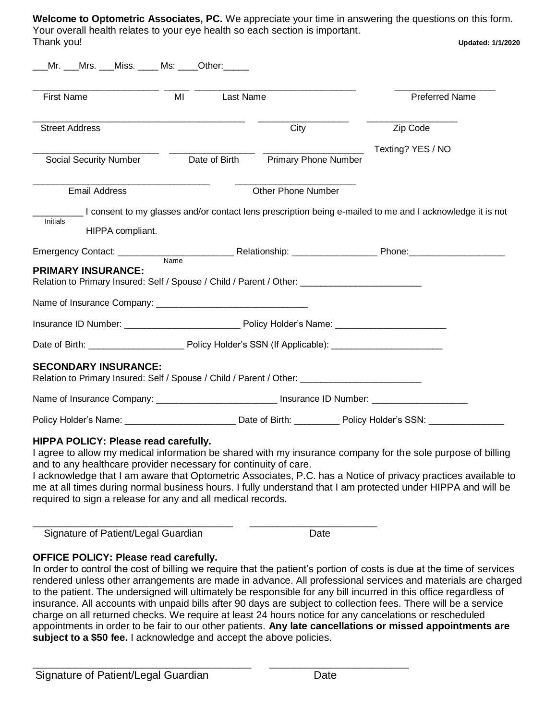**Welcome to Optometric Associates, PC.** We appreciate your time in answering the questions on this form. Your overall health relates to your eye health so each section is important. Thank you! **Updated: 1/1/2020**

|                                                                                                                                                                                                                                                                                                           | Mr. ___Mrs. ___Miss. ____ Ms: ____Other:_____ |           |                                    |                                                                                                                                                                                                                                          |                       |  |  |
|-----------------------------------------------------------------------------------------------------------------------------------------------------------------------------------------------------------------------------------------------------------------------------------------------------------|-----------------------------------------------|-----------|------------------------------------|------------------------------------------------------------------------------------------------------------------------------------------------------------------------------------------------------------------------------------------|-----------------------|--|--|
| <b>First Name</b>                                                                                                                                                                                                                                                                                         | MI                                            | Last Name |                                    |                                                                                                                                                                                                                                          | <b>Preferred Name</b> |  |  |
| <b>Street Address</b>                                                                                                                                                                                                                                                                                     |                                               |           | City                               | Zip Code                                                                                                                                                                                                                                 |                       |  |  |
| Social Security Number                                                                                                                                                                                                                                                                                    |                                               |           | Date of Birth Primary Phone Number |                                                                                                                                                                                                                                          | Texting? YES / NO     |  |  |
| <b>Email Address</b>                                                                                                                                                                                                                                                                                      |                                               |           | <b>Other Phone Number</b>          |                                                                                                                                                                                                                                          |                       |  |  |
|                                                                                                                                                                                                                                                                                                           |                                               |           |                                    | I consent to my glasses and/or contact lens prescription being e-mailed to me and I acknowledge it is not                                                                                                                                |                       |  |  |
| Initials<br>HIPPA compliant.                                                                                                                                                                                                                                                                              |                                               |           |                                    |                                                                                                                                                                                                                                          |                       |  |  |
|                                                                                                                                                                                                                                                                                                           |                                               |           |                                    | <b>Relationship:</b> Phone: Phone: <b>Phone:</b> Phone: Phone: Phone: Phone: Phone: Phone: Phone: Phone: Phone: Phone: Phone: Phone: Phone: Phone: Phone: Phone: Phone: Phone: Phone: Phone: Phone: Phone: Phone: Phone: Phone: Phone: P |                       |  |  |
|                                                                                                                                                                                                                                                                                                           | Name                                          |           |                                    |                                                                                                                                                                                                                                          |                       |  |  |
|                                                                                                                                                                                                                                                                                                           |                                               |           |                                    |                                                                                                                                                                                                                                          |                       |  |  |
|                                                                                                                                                                                                                                                                                                           |                                               |           |                                    |                                                                                                                                                                                                                                          |                       |  |  |
|                                                                                                                                                                                                                                                                                                           |                                               |           |                                    |                                                                                                                                                                                                                                          |                       |  |  |
| Emergency Contact: ___________<br><b>PRIMARY INSURANCE:</b><br>Relation to Primary Insured: Self / Spouse / Child / Parent / Other: _______________________________<br><b>SECONDARY INSURANCE:</b><br>Relation to Primary Insured: Self / Spouse / Child / Parent / Other: ______________________________ |                                               |           |                                    |                                                                                                                                                                                                                                          |                       |  |  |
| Name of Insurance Company: _____________________________ Insurance ID Number: _____________________                                                                                                                                                                                                       |                                               |           |                                    |                                                                                                                                                                                                                                          |                       |  |  |

I agree to allow my medical information be shared with my insurance company for the sole purpose of billing and to any healthcare provider necessary for continuity of care.

I acknowledge that I am aware that Optometric Associates, P.C. has a Notice of privacy practices available to me at all times during normal business hours. I fully understand that I am protected under HIPPA and will be required to sign a release for any and all medical records.

Signature of Patient/Legal Guardian Date

\_\_\_\_\_\_\_\_\_\_\_\_\_\_\_\_\_\_\_\_\_\_\_\_\_\_\_\_\_\_\_\_\_\_\_\_ \_\_\_\_\_\_\_\_\_\_\_\_\_\_\_\_\_\_\_\_\_\_\_

## **OFFICE POLICY: Please read carefully.**

In order to control the cost of billing we require that the patient's portion of costs is due at the time of services rendered unless other arrangements are made in advance. All professional services and materials are charged to the patient. The undersigned will ultimately be responsible for any bill incurred in this office regardless of insurance. All accounts with unpaid bills after 90 days are subject to collection fees. There will be a service charge on all returned checks. We require at least 24 hours notice for any cancelations or rescheduled appointments in order to be fair to our other patients. **Any late cancellations or missed appointments are subject to a \$50 fee.** I acknowledge and accept the above policies.